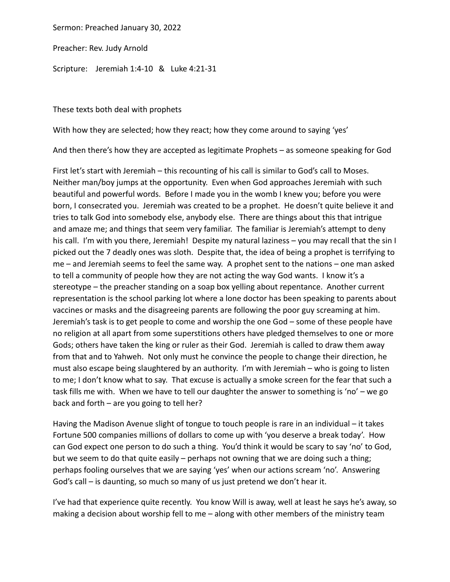Sermon: Preached January 30, 2022

Preacher: Rev. Judy Arnold

Scripture: Jeremiah 1:4-10 & Luke 4:21-31

These texts both deal with prophets

With how they are selected; how they react; how they come around to saying 'yes'

And then there's how they are accepted as legitimate Prophets – as someone speaking for God

First let's start with Jeremiah – this recounting of his call is similar to God's call to Moses. Neither man/boy jumps at the opportunity. Even when God approaches Jeremiah with such beautiful and powerful words. Before I made you in the womb I knew you; before you were born, I consecrated you. Jeremiah was created to be a prophet. He doesn't quite believe it and tries to talk God into somebody else, anybody else. There are things about this that intrigue and amaze me; and things that seem very familiar. The familiar is Jeremiah's attempt to deny his call. I'm with you there, Jeremiah! Despite my natural laziness - you may recall that the sin I picked out the 7 deadly ones was sloth. Despite that, the idea of being a prophet is terrifying to me – and Jeremiah seems to feel the same way. A prophet sent to the nations – one man asked to tell a community of people how they are not acting the way God wants. I know it's a stereotype – the preacher standing on a soap box yelling about repentance. Another current representation is the school parking lot where a lone doctor has been speaking to parents about vaccines or masks and the disagreeing parents are following the poor guy screaming at him. Jeremiah's task is to get people to come and worship the one God – some of these people have no religion at all apart from some superstitions others have pledged themselves to one or more Gods; others have taken the king or ruler as their God. Jeremiah is called to draw them away from that and to Yahweh. Not only must he convince the people to change their direction, he must also escape being slaughtered by an authority. I'm with Jeremiah – who is going to listen to me; I don't know what to say. That excuse is actually a smoke screen for the fear that such a task fills me with. When we have to tell our daughter the answer to something is 'no' – we go back and forth – are you going to tell her?

Having the Madison Avenue slight of tongue to touch people is rare in an individual – it takes Fortune 500 companies millions of dollars to come up with 'you deserve a break today'. How can God expect one person to do such a thing. You'd think it would be scary to say 'no' to God, but we seem to do that quite easily – perhaps not owning that we are doing such a thing; perhaps fooling ourselves that we are saying 'yes' when our actions scream 'no'. Answering God's call – is daunting, so much so many of us just pretend we don't hear it.

I've had that experience quite recently. You know Will is away, well at least he says he's away, so making a decision about worship fell to me – along with other members of the ministry team